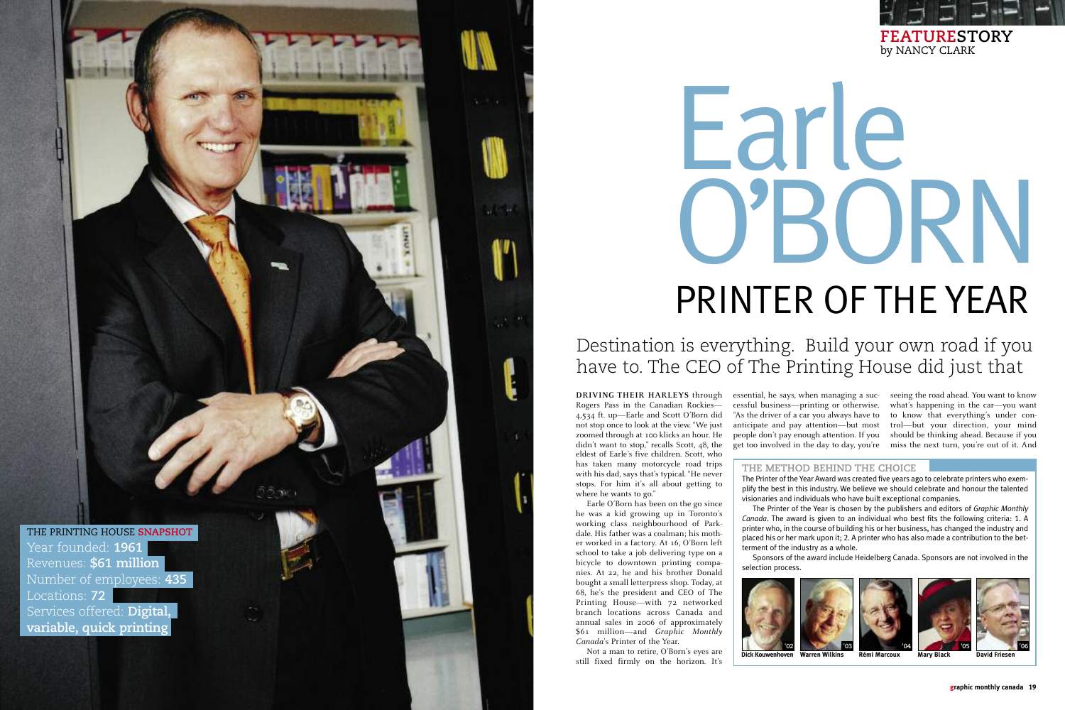**DRIVING THEIR HARLEYS** through Rogers Pass in the Canadian Rockies— 4,534 ft. up—Earle and Scott O'Born did not stop once to look at the view. "We just zoomed through at 100 klicks an hour. He didn't want to stop," recalls Scott, 48, the eldest of Earle's five children. Scott, who has taken many motorcycle road trips with his dad, says that's typical. "He never stops. For him it's all about getting to where he wants to go."

Earle O'Born has been on the go since he was a kid growing up in Toronto's working class neighbourhood of Parkdale. His father was a coalman; his mother worked in a factory. At 16, O'Born left school to take a job delivering type on a bicycle to downtown printing companies. At 22, he and his brother Donald bought a small letterpress shop. Today, at 68, he's the president and CEO of The Printing House—with 72 networked branch locations across Canada and annual sales in 2006 of approximately \$61 million—and *Graphic Monthly* **'02** *Canada*'s Printer of the Year.

Not a man to retire, O'Born's eyes are still fixed firmly on the horizon. It's essential, he says, when managing a successful business—printing or otherwise. "As the driver of a car you always have to anticipate and pay attention—but most people don't pay enough attention. If you get too involved in the day to day, you're

seeing the road ahead. You want to know what's happening in the car—you want to know that everything's under control—but your direction, your mind should be thinking ahead. Because if you miss the next turn, you're out of it. And

## **FEATURESTORY** by NANCY CLARK

Destination is everything. Build your own road if you have to. The CEO of The Printing House did just that

# Earle O'BORN PRINTER OF THE YEAR

# THE PRINTING HOUSE **SNAPSHOT** Year founded: **1961** Revenues: **\$61 million** Number of employees: **435** Locations: **72** Services offered: **Digital, variable, quick printing**

**THE METHOD BEHIND THE CHOICE** The Printer of the Year Award was created five years ago to celebrate printers who exemplify the best in this industry. We believe we should celebrate and honour the talented visionaries and individuals who have built exceptional companies.

The Printer of the Year is chosen by the publishers and editors of *Graphic Monthly Canada*. The award is given to an individual who best fits the following criteria: 1. A printer who, in the course of building his or her business, has changed the industry and placed his or her mark upon it; 2. A printer who has also made a contribution to the betterment of the industry as a whole.

Sponsors of the award include Heidelberg Canada. Sponsors are not involved in the

selection process.



**Dick Kouwenhoven Warren Wilkins**







**Rémi Marcoux**



**Mary Black**



**David Friesen**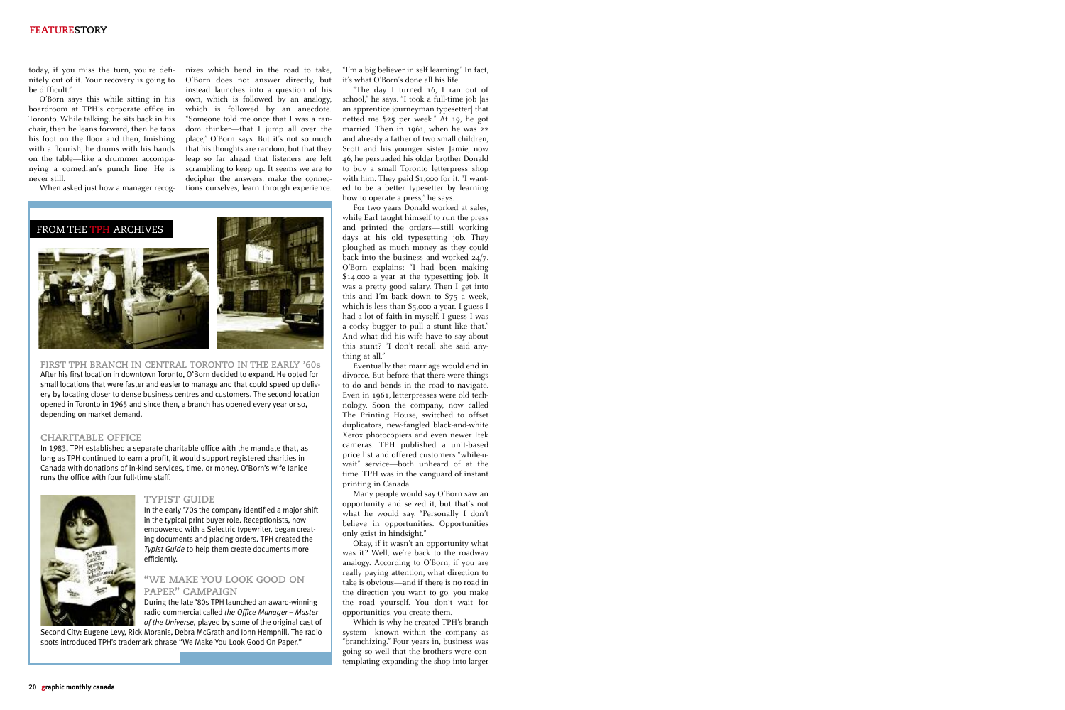today, if you miss the turn, you're definitely out of it. Your recovery is going to be difficult."

O'Born says this while sitting in his boardroom at TPH's corporate office in Toronto. While talking, he sits back in his chair, then he leans forward, then he taps his foot on the floor and then, finishing with a flourish, he drums with his hands on the table—like a drummer accompanying a comedian's punch line. He is never still.

When asked just how a manager recog-

O'Born does not answer directly, but instead launches into a question of his own, which is followed by an analogy, which is followed by an anecdote. "Someone told me once that I was a random thinker—that I jump all over the place," O'Born says. But it's not so much that his thoughts are random, but that they leap so far ahead that listeners are left scrambling to keep up. It seems we are to decipher the answers, make the connections ourselves, learn through experience.

nizes which bend in the road to take, "I'm a big believer in self learning." In fact, it's what O'Born's done all his life.

> "The day I turned 16, I ran out of school," he says. "I took a full-time job [as an apprentice journeyman typesetter] that netted me \$25 per week." At 19, he got married. Then in 1961, when he was 22 and already a father of two small children, Scott and his younger sister Jamie, now 46, he persuaded his older brother Donald to buy a small Toronto letterpress shop with him. They paid \$1,000 for it. "I wanted to be a better typesetter by learning how to operate a press," he says.

> For two years Donald worked at sales, while Earl taught himself to run the press and printed the orders—still working days at his old typesetting job. They ploughed as much money as they could back into the business and worked 24/7. O'Born explains: "I had been making \$14,000 a year at the typesetting job. It was a pretty good salary. Then I get into this and I'm back down to \$75 a week, which is less than \$5,000 a year. I guess I had a lot of faith in myself. I guess I was a cocky bugger to pull a stunt like that." And what did his wife have to say about this stunt? "I don't recall she said anything at all."

> Eventually that marriage would end in divorce. But before that there were things to do and bends in the road to navigate. Even in 1961, letterpresses were old technology. Soon the company, now called The Printing House, switched to offset duplicators, new-fangled black-and-white Xerox photocopiers and even newer Itek cameras. TPH published a unit-based price list and offered customers "while-uwait" service—both unheard of at the time. TPH was in the vanguard of instant printing in Canada.

> Many people would say O'Born saw an opportunity and seized it, but that's not what he would say. "Personally I don't believe in opportunities. Opportunities only exist in hindsight."

> Okay, if it wasn't an opportunity what was it? Well, we're back to the roadway analogy. According to O'Born, if you are really paying attention, what direction to take is obvious—and if there is no road in the direction you want to go, you make the road yourself. You don't wait for opportunities, you create them.

> Which is why he created TPH's branch system—known within the company as "branchizing." Four years in, business was going so well that the brothers were contemplating expanding the shop into larger



**FIRST TPH BRANCH IN CENTRAL TORONTO IN THE EARLY '60s** After his first location in downtown Toronto, O'Born decided to expand. He opted for small locations that were faster and easier to manage and that could speed up delivery by locating closer to dense business centres and customers. The second location opened in Toronto in 1965 and since then, a branch has opened every year or so, depending on market demand.

#### **CHARITABLE OFFICE**

In 1983, TPH established a separate charitable office with the mandate that, as long as TPH continued to earn a profit, it would support registered charities in Canada with donations of in-kind services, time, or money. O'Born's wife Janice runs the office with four full-time staff.



#### **TYPIST GUIDE**

In the early '70s the company identified a major shift in the typical print buyer role. Receptionists, now empowered with a Selectric typewriter, began creating documents and placing orders. TPH created the *Typist Guide* to help them create documents more efficiently.

## **"WE MAKE YOU LOOK GOOD ON PAPER" CAMPAIGN**

During the late '80s TPH launched an award-winning radio commercial called *the Office Manager – Master of the Universe,* played by some of the original cast of

Second City: Eugene Levy, Rick Moranis, Debra McGrath and John Hemphill. The radio spots introduced TPH's trademark phrase "We Make You Look Good On Paper."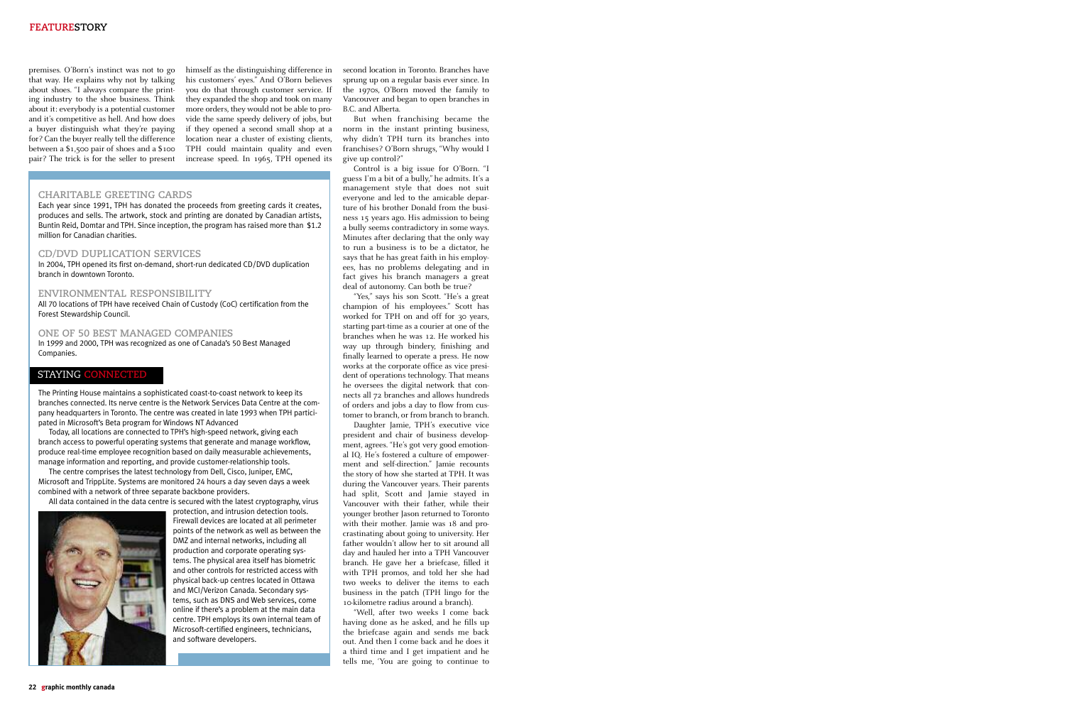premises. O'Born's instinct was not to go that way. He explains why not by talking his customers' eyes." And O'Born believes about shoes. "I always compare the printing industry to the shoe business. Think about it: everybody is a potential customer and it's competitive as hell. And how does a buyer distinguish what they're paying if they opened a second small shop at a for? Can the buyer really tell the difference between a \$1,500 pair of shoes and a \$100 pair? The trick is for the seller to present

you do that through customer service. If they expanded the shop and took on many more orders, they would not be able to provide the same speedy delivery of jobs, but location near a cluster of existing clients, TPH could maintain quality and even increase speed. In 1965, TPH opened its

himself as the distinguishing difference in second location in Toronto. Branches have sprung up on a regular basis ever since. In the 1970s, O'Born moved the family to Vancouver and began to open branches in B.C. and Alberta.

> "Yes," says his son Scott. "He's a great champion of his employees." Scott has worked for TPH on and off for 30 years, starting part-time as a courier at one of the branches when he was 12. He worked his way up through bindery, finishing and finally learned to operate a press. He now works at the corporate office as vice president of operations technology. That means he oversees the digital network that connects all 72 branches and allows hundreds of orders and jobs a day to flow from customer to branch, or from branch to branch.

> But when franchising became the norm in the instant printing business, why didn't TPH turn its branches into franchises? O'Born shrugs, "Why would I give up control?"

> Control is a big issue for O'Born. "I guess I'm a bit of a bully," he admits. It's a management style that does not suit everyone and led to the amicable departure of his brother Donald from the business 15 years ago. His admission to being a bully seems contradictory in some ways. Minutes after declaring that the only way to run a business is to be a dictator, he says that he has great faith in his employees, has no problems delegating and in fact gives his branch managers a great deal of autonomy. Can both be true?

> Daughter Jamie, TPH's executive vice president and chair of business development, agrees. "He's got very good emotional IQ. He's fostered a culture of empowerment and self-direction." Jamie recounts the story of how she started at TPH. It was during the Vancouver years. Their parents had split, Scott and Jamie stayed in Vancouver with their father, while their younger brother Jason returned to Toronto with their mother. Jamie was 18 and procrastinating about going to university. Her father wouldn't allow her to sit around all day and hauled her into a TPH Vancouver branch. He gave her a briefcase, filled it with TPH promos, and told her she had two weeks to deliver the items to each business in the patch (TPH lingo for the 10-kilometre radius around a branch).

> "Well, after two weeks I come back having done as he asked, and he fills up the briefcase again and sends me back out. And then I come back and he does it a third time and I get impatient and he tells me, 'You are going to continue to

### **CHARITABLE GREETING CARDS**

Each year since 1991, TPH has donated the proceeds from greeting cards it creates, produces and sells. The artwork, stock and printing are donated by Canadian artists, Buntin Reid, Domtar and TPH. Since inception, the program has raised more than \$1.2 million for Canadian charities.

#### **CD/DVD DUPLICATION SERVICES**

In 2004, TPH opened its first on-demand, short-run dedicated CD/DVD duplication branch in downtown Toronto.

#### **ENVIRONMENTAL RESPONSIBILITY**

All 70 locations of TPH have received Chain of Custody (CoC) certification from the Forest Stewardship Council.

**ONE OF 50 BEST MANAGED COMPANIES**  In 1999 and 2000, TPH was recognized as one of Canada's 50 Best Managed Companies.

The Printing House maintains a sophisticated coast-to-coast network to keep its branches connected. Its nerve centre is the Network Services Data Centre at the company headquarters in Toronto. The centre was created in late 1993 when TPH participated in Microsoft's Beta program for Windows NT Advanced

Today, all locations are connected to TPH's high-speed network, giving each branch access to powerful operating systems that generate and manage workflow, produce real-time employee recognition based on daily measurable achievements, manage information and reporting, and provide customer-relationship tools.

The centre comprises the latest technology from Dell, Cisco, Juniper, EMC, Microsoft and TrippLite. Systems are monitored 24 hours a day seven days a week combined with a network of three separate backbone providers.

All data contained in the data centre is secured with the latest cryptography, virus



protection, and intrusion detection tools. Firewall devices are located at all perimeter points of the network as well as between the DMZ and internal networks, including all production and corporate operating systems. The physical area itself has biometric and other controls for restricted access with physical back-up centres located in Ottawa and MCI/Verizon Canada. Secondary systems, such as DNS and Web services, come online if there's a problem at the main data centre. TPH employs its own internal team of Microsoft-certified engineers, technicians, and software developers.

### STAYING **CONNECTED**